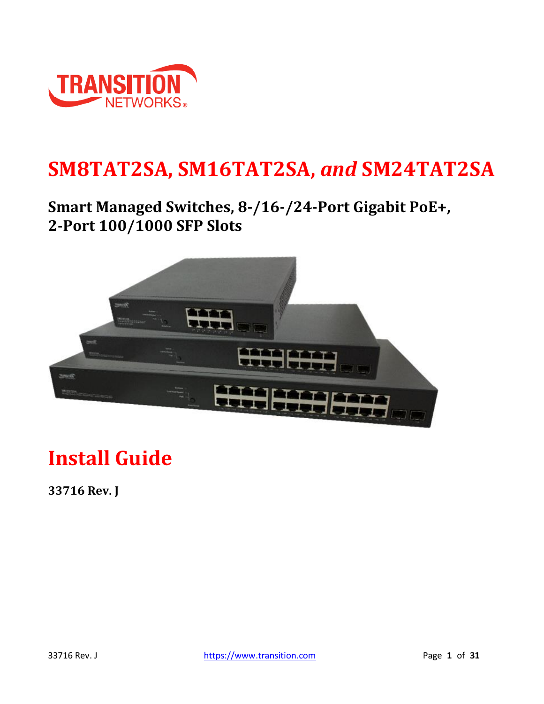

## **SM8TAT2SA, SM16TAT2SA,** *and* **SM24TAT2SA**

## **Smart Managed Switches, 8-/16-/24-Port Gigabit PoE+, 2-Port 100/1000 SFP Slots**



# **Install Guide**

**33716 Rev. J**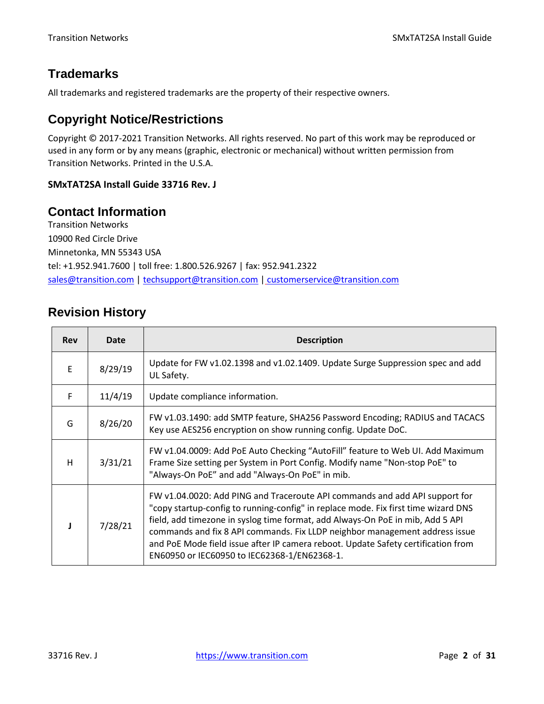### **Trademarks**

All trademarks and registered trademarks are the property of their respective owners.

### **Copyright Notice/Restrictions**

Copyright © 2017-2021 Transition Networks. All rights reserved. No part of this work may be reproduced or used in any form or by any means (graphic, electronic or mechanical) without written permission from Transition Networks. Printed in the U.S.A.

### **SMxTAT2SA Install Guide 33716 Rev. J**

### **Contact Information**

Transition Networks 10900 Red Circle Drive Minnetonka, MN 55343 USA tel: +1.952.941.7600 | toll free: 1.800.526.9267 | fax: 952.941.2322 [sales@transition.com](mailto:sales@transition.com) | [techsupport@transition.com](mailto:techsupport@transition.com) | [customerservice@transition.com](mailto:customerservice@transition.com)

### **Revision History**

| <b>Rev</b> | Date    | <b>Description</b>                                                                                                                                                                                                                                                                                                                                                                                                                                                      |  |  |
|------------|---------|-------------------------------------------------------------------------------------------------------------------------------------------------------------------------------------------------------------------------------------------------------------------------------------------------------------------------------------------------------------------------------------------------------------------------------------------------------------------------|--|--|
| E          | 8/29/19 | Update for FW v1.02.1398 and v1.02.1409. Update Surge Suppression spec and add<br>UL Safety.                                                                                                                                                                                                                                                                                                                                                                            |  |  |
| F          | 11/4/19 | Update compliance information.                                                                                                                                                                                                                                                                                                                                                                                                                                          |  |  |
| G          | 8/26/20 | FW v1.03.1490: add SMTP feature, SHA256 Password Encoding; RADIUS and TACACS<br>Key use AES256 encryption on show running config. Update DoC.                                                                                                                                                                                                                                                                                                                           |  |  |
| н          | 3/31/21 | FW v1.04.0009: Add PoE Auto Checking "AutoFill" feature to Web UI. Add Maximum<br>Frame Size setting per System in Port Config. Modify name "Non-stop PoE" to<br>"Always-On PoE" and add "Always-On PoE" in mib.                                                                                                                                                                                                                                                        |  |  |
|            | 7/28/21 | FW v1.04.0020: Add PING and Traceroute API commands and add API support for<br>"copy startup-config to running-config" in replace mode. Fix first time wizard DNS<br>field, add timezone in syslog time format, add Always-On PoE in mib, Add 5 API<br>commands and fix 8 API commands. Fix LLDP neighbor management address issue<br>and PoE Mode field issue after IP camera reboot. Update Safety certification from<br>EN60950 or IEC60950 to IEC62368-1/EN62368-1. |  |  |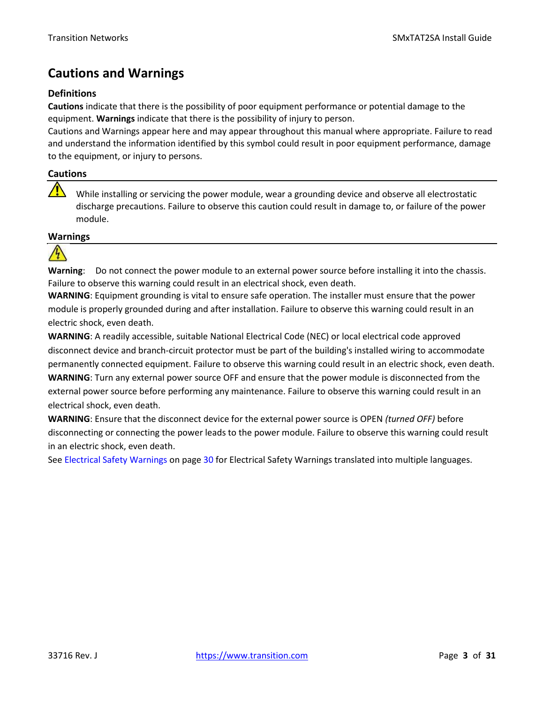### **Cautions and Warnings**

### **Definitions**

**Cautions** indicate that there is the possibility of poor equipment performance or potential damage to the equipment. **Warnings** indicate that there is the possibility of injury to person.

Cautions and Warnings appear here and may appear throughout this manual where appropriate. Failure to read and understand the information identified by this symbol could result in poor equipment performance, damage to the equipment, or injury to persons.

### **Cautions**

While installing or servicing the power module, wear a grounding device and observe all electrostatic discharge precautions. Failure to observe this caution could result in damage to, or failure of the power module.

#### **Warnings**



**Warning**: Do not connect the power module to an external power source before installing it into the chassis. Failure to observe this warning could result in an electrical shock, even death.

**WARNING**: Equipment grounding is vital to ensure safe operation. The installer must ensure that the power module is properly grounded during and after installation. Failure to observe this warning could result in an electric shock, even death.

**WARNING**: A readily accessible, suitable National Electrical Code (NEC) or local electrical code approved disconnect device and branch-circuit protector must be part of the building's installed wiring to accommodate permanently connected equipment. Failure to observe this warning could result in an electric shock, even death. **WARNING**: Turn any external power source OFF and ensure that the power module is disconnected from the external power source before performing any maintenance. Failure to observe this warning could result in an electrical shock, even death.

**WARNING**: Ensure that the disconnect device for the external power source is OPEN *(turned OFF)* before disconnecting or connecting the power leads to the power module. Failure to observe this warning could result in an electric shock, even death.

See Electrical Safety Warnings on page [30](#page-29-0) for Electrical Safety Warnings translated into multiple languages.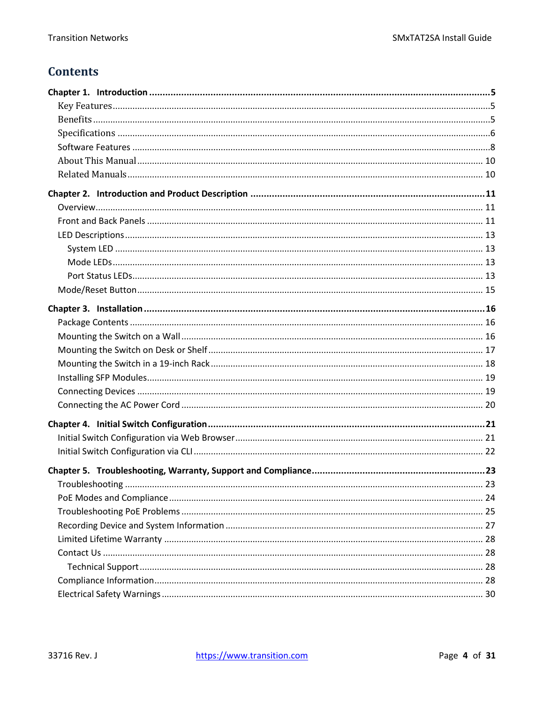### **Contents**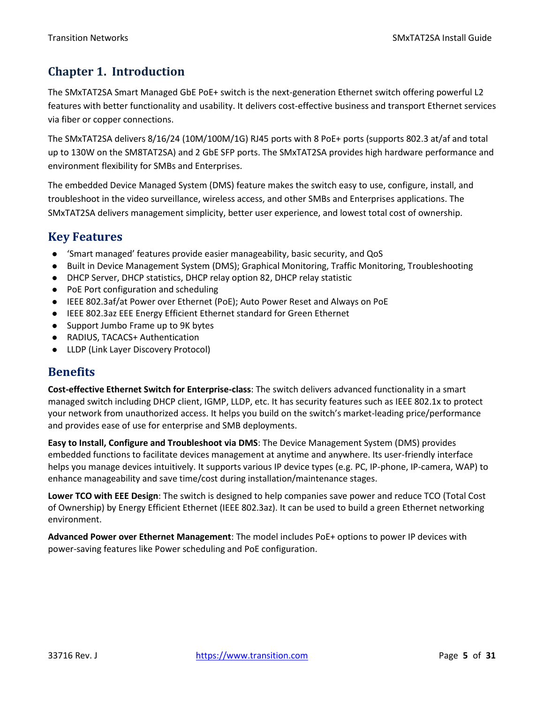### <span id="page-4-0"></span>**Chapter 1. Introduction**

The SMxTAT2SA Smart Managed GbE PoE+ switch is the next-generation Ethernet switch offering powerful L2 features with better functionality and usability. It delivers cost-effective business and transport Ethernet services via fiber or copper connections.

The SMxTAT2SA delivers 8/16/24 (10M/100M/1G) RJ45 ports with 8 PoE+ ports (supports 802.3 at/af and total up to 130W on the SM8TAT2SA) and 2 GbE SFP ports. The SMxTAT2SA provides high hardware performance and environment flexibility for SMBs and Enterprises.

The embedded Device Managed System (DMS) feature makes the switch easy to use, configure, install, and troubleshoot in the video surveillance, wireless access, and other SMBs and Enterprises applications. The SMxTAT2SA delivers management simplicity, better user experience, and lowest total cost of ownership.

### <span id="page-4-1"></span>**Key Features**

- ⚫ 'Smart managed' features provide easier manageability, basic security, and QoS
- ⚫ Built in Device Management System (DMS); Graphical Monitoring, Traffic Monitoring, Troubleshooting
- ⚫ DHCP Server, DHCP statistics, DHCP relay option 82, DHCP relay statistic
- PoE Port configuration and scheduling
- IEEE 802.3af/at Power over Ethernet (PoE); Auto Power Reset and Always on PoE
- ⚫ IEEE 802.3az EEE Energy Efficient Ethernet standard for Green Ethernet
- Support Jumbo Frame up to 9K bytes
- ⚫ RADIUS, TACACS+ Authentication
- ⚫ LLDP (Link Layer Discovery Protocol)

### <span id="page-4-2"></span>**Benefits**

**Cost-effective Ethernet Switch for Enterprise-class**: The switch delivers advanced functionality in a smart managed switch including DHCP client, IGMP, LLDP, etc. It has security features such as IEEE 802.1x to protect your network from unauthorized access. It helps you build on the switch's market-leading price/performance and provides ease of use for enterprise and SMB deployments.

**Easy to Install, Configure and Troubleshoot via DMS**: The Device Management System (DMS) provides embedded functions to facilitate devices management at anytime and anywhere. Its user-friendly interface helps you manage devices intuitively. It supports various IP device types (e.g. PC, IP-phone, IP-camera, WAP) to enhance manageability and save time/cost during installation/maintenance stages.

**Lower TCO with EEE Design**: The switch is designed to help companies save power and reduce TCO (Total Cost of Ownership) by Energy Efficient Ethernet (IEEE 802.3az). It can be used to build a green Ethernet networking environment.

**Advanced Power over Ethernet Management**: The model includes PoE+ options to power IP devices with power-saving features like Power scheduling and PoE configuration.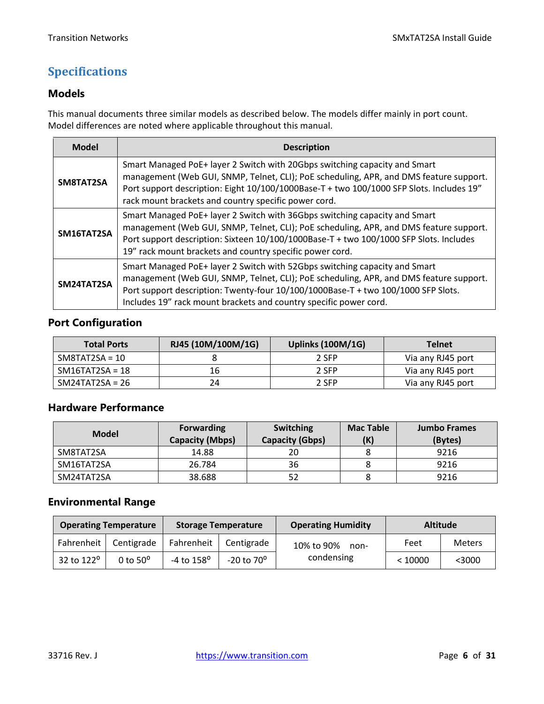### <span id="page-5-0"></span>**Specifications**

### **Models**

This manual documents three similar models as described below. The models differ mainly in port count. Model differences are noted where applicable throughout this manual.

| <b>Model</b>                                                                                                                                                                                                                                                                                                                                 | <b>Description</b>                                                                                                                                                                                                                                                                                                       |  |
|----------------------------------------------------------------------------------------------------------------------------------------------------------------------------------------------------------------------------------------------------------------------------------------------------------------------------------------------|--------------------------------------------------------------------------------------------------------------------------------------------------------------------------------------------------------------------------------------------------------------------------------------------------------------------------|--|
| SM8TAT2SA                                                                                                                                                                                                                                                                                                                                    | Smart Managed PoE+ layer 2 Switch with 20Gbps switching capacity and Smart<br>management (Web GUI, SNMP, Telnet, CLI); PoE scheduling, APR, and DMS feature support.<br>Port support description: Eight 10/100/1000Base-T + two 100/1000 SFP Slots. Includes 19"<br>rack mount brackets and country specific power cord. |  |
| Smart Managed PoE+ layer 2 Switch with 36Gbps switching capacity and Smart<br>management (Web GUI, SNMP, Telnet, CLI); PoE scheduling, APR, and DMS feature support.<br>SM16TAT2SA<br>Port support description: Sixteen 10/100/1000Base-T + two 100/1000 SFP Slots. Includes<br>19" rack mount brackets and country specific power cord.     |                                                                                                                                                                                                                                                                                                                          |  |
| Smart Managed PoE+ layer 2 Switch with 52Gbps switching capacity and Smart<br>management (Web GUI, SNMP, Telnet, CLI); PoE scheduling, APR, and DMS feature support.<br>SM24TAT2SA<br>Port support description: Twenty-four 10/100/1000Base-T + two 100/1000 SFP Slots.<br>Includes 19" rack mount brackets and country specific power cord. |                                                                                                                                                                                                                                                                                                                          |  |

### **Port Configuration**

| <b>Total Ports</b> | RJ45 (10M/100M/1G) | <b>Uplinks (100M/1G)</b> | <b>Telnet</b>     |
|--------------------|--------------------|--------------------------|-------------------|
| $SM8TAT2SA = 10$   |                    | 2 SFP                    | Via any RJ45 port |
| $SM16TAT2SA = 18$  | 16                 | 2 SFP                    | Via any RJ45 port |
| $SM24TAT2SA = 26$  | 24                 | 2 SFP                    | Via any RJ45 port |

### **Hardware Performance**

| <b>Model</b> | <b>Forwarding</b><br><b>Capacity (Mbps)</b> | <b>Switching</b><br><b>Capacity (Gbps)</b> | <b>Mac Table</b><br>(K) | <b>Jumbo Frames</b><br>(Bytes) |
|--------------|---------------------------------------------|--------------------------------------------|-------------------------|--------------------------------|
| SM8TAT2SA    | 14.88                                       | 20                                         |                         | 9216                           |
| SM16TAT2SA   | 26.784                                      | 36                                         |                         | 9216                           |
| SM24TAT2SA   | 38.688                                      | 52                                         |                         | 9216                           |

### **Environmental Range**

| <b>Operating Temperature</b> |                 |                       | <b>Storage Temperature</b> | <b>Operating Humidity</b> |         | <b>Altitude</b> |
|------------------------------|-----------------|-----------------------|----------------------------|---------------------------|---------|-----------------|
| Fahrenheit                   | Centigrade      | Fahrenheit            | Centigrade                 | 10% to 90%<br>non-        | Feet    | <b>Meters</b>   |
| 32 to 122 <sup>o</sup>       | 0 to $50^\circ$ | $-4$ to $158^{\circ}$ | $-20$ to $70^{\circ}$      | condensing                | < 10000 | $<$ 3000        |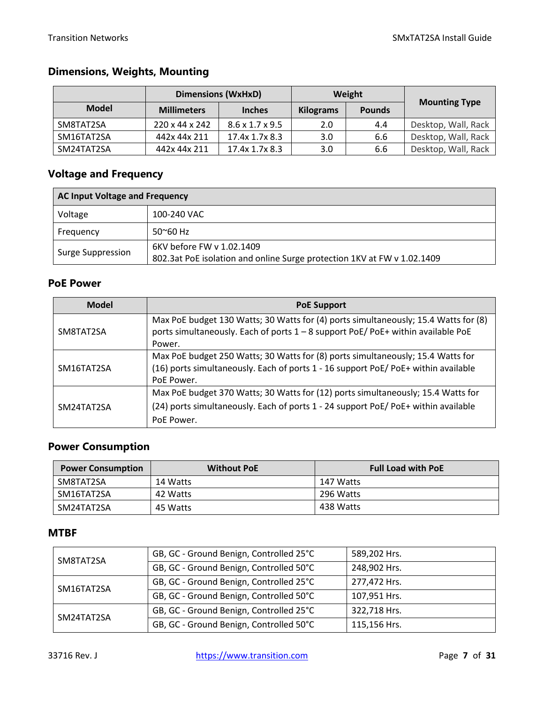### **Dimensions, Weights, Mounting**

|              |                    | <b>Dimensions (WxHxD)</b>   |                  | Weight        |                      |
|--------------|--------------------|-----------------------------|------------------|---------------|----------------------|
| <b>Model</b> | <b>Millimeters</b> | <b>Inches</b>               | <b>Kilograms</b> | <b>Pounds</b> | <b>Mounting Type</b> |
| SM8TAT2SA    | 220 x 44 x 242     | $8.6 \times 1.7 \times 9.5$ | 2.0              | 4.4           | Desktop, Wall, Rack  |
| SM16TAT2SA   | 442x 44x 211       | 17.4x 1.7x 8.3              | 3.0              | 6.6           | Desktop, Wall, Rack  |
| SM24TAT2SA   | 442x 44x 211       | 17.4x 1.7x 8.3              | 3.0              | 6.6           | Desktop, Wall, Rack  |

### **Voltage and Frequency**

| <b>AC Input Voltage and Frequency</b> |                                                                         |  |  |
|---------------------------------------|-------------------------------------------------------------------------|--|--|
| Voltage<br>100-240 VAC                |                                                                         |  |  |
| Frequency                             | $50^{\circ}60$ Hz                                                       |  |  |
| Surge Suppression                     | 6KV before FW v 1.02.1409                                               |  |  |
|                                       | 802.3at PoE isolation and online Surge protection 1KV at FW v 1.02.1409 |  |  |

#### **PoE Power**

| <b>Model</b> | <b>PoE Support</b>                                                                                                                                                                  |  |  |
|--------------|-------------------------------------------------------------------------------------------------------------------------------------------------------------------------------------|--|--|
| SM8TAT2SA    | Max PoE budget 130 Watts; 30 Watts for (4) ports simultaneously; 15.4 Watts for (8)<br>ports simultaneously. Each of ports 1 - 8 support PoE/ PoE+ within available PoE<br>Power.   |  |  |
| SM16TAT2SA   | Max PoE budget 250 Watts; 30 Watts for (8) ports simultaneously; 15.4 Watts for<br>(16) ports simultaneously. Each of ports 1 - 16 support PoE/PoE+ within available<br>PoE Power.  |  |  |
| SM24TAT2SA   | Max PoE budget 370 Watts; 30 Watts for (12) ports simultaneously; 15.4 Watts for<br>(24) ports simultaneously. Each of ports 1 - 24 support PoE/PoE+ within available<br>PoE Power. |  |  |

### **Power Consumption**

| <b>Power Consumption</b> | <b>Without PoE</b> | <b>Full Load with PoE</b> |
|--------------------------|--------------------|---------------------------|
| SM8TAT2SA                | 14 Watts           | 147 Watts                 |
| SM16TAT2SA               | 42 Watts           | 296 Watts                 |
| SM24TAT2SA               | 45 Watts           | 438 Watts                 |

### **MTBF**

| SM8TAT2SA  | GB, GC - Ground Benign, Controlled 25°C | 589,202 Hrs. |
|------------|-----------------------------------------|--------------|
|            | GB, GC - Ground Benign, Controlled 50°C | 248,902 Hrs. |
| SM16TAT2SA | GB, GC - Ground Benign, Controlled 25°C | 277,472 Hrs. |
|            | GB, GC - Ground Benign, Controlled 50°C | 107,951 Hrs. |
| SM24TAT2SA | GB, GC - Ground Benign, Controlled 25°C | 322,718 Hrs. |
|            | GB, GC - Ground Benign, Controlled 50°C | 115,156 Hrs. |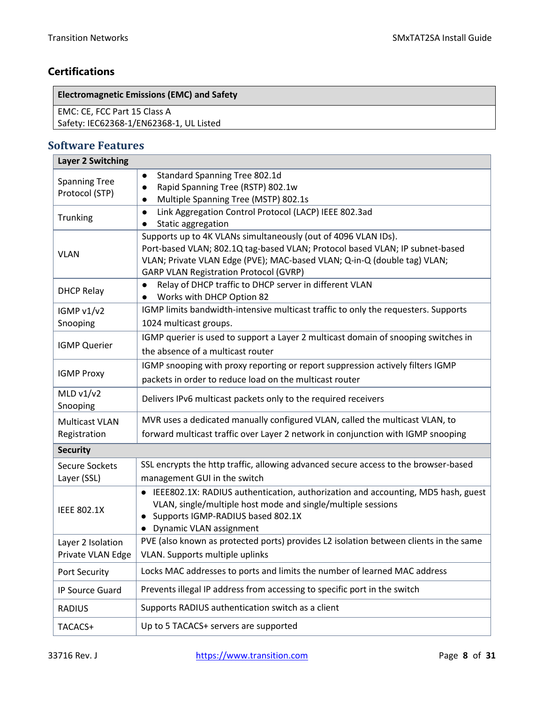٦

### **Certifications**

**Electromagnetic Emissions (EMC) and Safety**

EMC: CE, FCC Part 15 Class A

Safety: IEC62368-1/EN62368-1, UL Listed

#### <span id="page-7-0"></span>**Software Features Layer 2 Switching**

| Layer 2 Switching                      |                                                                                                                                                                                                                                                                             |
|----------------------------------------|-----------------------------------------------------------------------------------------------------------------------------------------------------------------------------------------------------------------------------------------------------------------------------|
| <b>Spanning Tree</b><br>Protocol (STP) | Standard Spanning Tree 802.1d<br>Rapid Spanning Tree (RSTP) 802.1w<br>Multiple Spanning Tree (MSTP) 802.1s                                                                                                                                                                  |
| Trunking                               | Link Aggregation Control Protocol (LACP) IEEE 802.3ad<br>$\bullet$<br>Static aggregation                                                                                                                                                                                    |
| <b>VLAN</b>                            | Supports up to 4K VLANs simultaneously (out of 4096 VLAN IDs).<br>Port-based VLAN; 802.1Q tag-based VLAN; Protocol based VLAN; IP subnet-based<br>VLAN; Private VLAN Edge (PVE); MAC-based VLAN; Q-in-Q (double tag) VLAN;<br><b>GARP VLAN Registration Protocol (GVRP)</b> |
| <b>DHCP Relay</b>                      | Relay of DHCP traffic to DHCP server in different VLAN<br>$\bullet$<br>Works with DHCP Option 82                                                                                                                                                                            |
| IGMP v1/v2<br>Snooping                 | IGMP limits bandwidth-intensive multicast traffic to only the requesters. Supports<br>1024 multicast groups.                                                                                                                                                                |
| <b>IGMP Querier</b>                    | IGMP querier is used to support a Layer 2 multicast domain of snooping switches in<br>the absence of a multicast router                                                                                                                                                     |
| <b>IGMP Proxy</b>                      | IGMP snooping with proxy reporting or report suppression actively filters IGMP<br>packets in order to reduce load on the multicast router                                                                                                                                   |
| MLD $v1/v2$<br>Snooping                | Delivers IPv6 multicast packets only to the required receivers                                                                                                                                                                                                              |
| <b>Multicast VLAN</b><br>Registration  | MVR uses a dedicated manually configured VLAN, called the multicast VLAN, to<br>forward multicast traffic over Layer 2 network in conjunction with IGMP snooping                                                                                                            |
| <b>Security</b>                        |                                                                                                                                                                                                                                                                             |
| <b>Secure Sockets</b><br>Layer (SSL)   | SSL encrypts the http traffic, allowing advanced secure access to the browser-based<br>management GUI in the switch                                                                                                                                                         |
| <b>IEEE 802.1X</b>                     | IEEE802.1X: RADIUS authentication, authorization and accounting, MD5 hash, guest<br>$\bullet$<br>VLAN, single/multiple host mode and single/multiple sessions<br>Supports IGMP-RADIUS based 802.1X<br><b>Dynamic VLAN assignment</b>                                        |
| Layer 2 Isolation<br>Private VLAN Edge | PVE (also known as protected ports) provides L2 isolation between clients in the same<br><b>VLAN.</b> Supports multiple uplinks                                                                                                                                             |
| Port Security                          | Locks MAC addresses to ports and limits the number of learned MAC address                                                                                                                                                                                                   |
| IP Source Guard                        | Prevents illegal IP address from accessing to specific port in the switch                                                                                                                                                                                                   |
| <b>RADIUS</b>                          | Supports RADIUS authentication switch as a client                                                                                                                                                                                                                           |
| TACACS+                                | Up to 5 TACACS+ servers are supported                                                                                                                                                                                                                                       |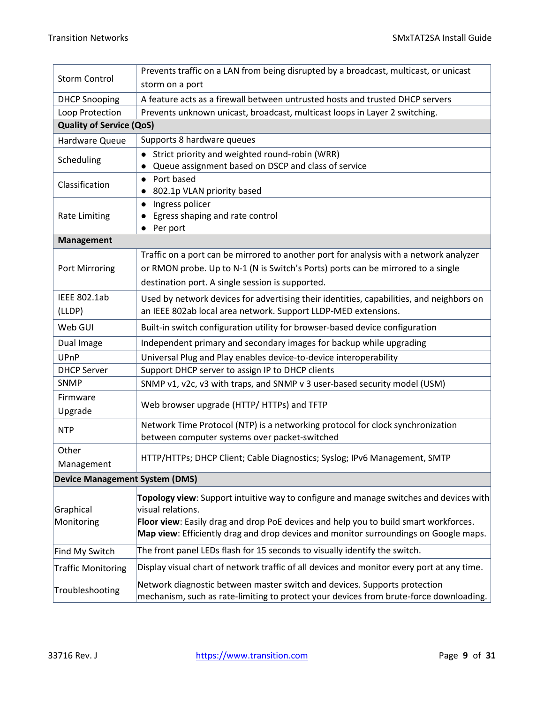| <b>Storm Control</b>                  | Prevents traffic on a LAN from being disrupted by a broadcast, multicast, or unicast                                                                                                                                                                                                        |  |  |  |  |
|---------------------------------------|---------------------------------------------------------------------------------------------------------------------------------------------------------------------------------------------------------------------------------------------------------------------------------------------|--|--|--|--|
|                                       | storm on a port                                                                                                                                                                                                                                                                             |  |  |  |  |
| <b>DHCP Snooping</b>                  | A feature acts as a firewall between untrusted hosts and trusted DHCP servers                                                                                                                                                                                                               |  |  |  |  |
| Loop Protection                       | Prevents unknown unicast, broadcast, multicast loops in Layer 2 switching.                                                                                                                                                                                                                  |  |  |  |  |
| <b>Quality of Service (QoS)</b>       |                                                                                                                                                                                                                                                                                             |  |  |  |  |
| Hardware Queue                        | Supports 8 hardware queues                                                                                                                                                                                                                                                                  |  |  |  |  |
| Scheduling                            | Strict priority and weighted round-robin (WRR)<br>Queue assignment based on DSCP and class of service                                                                                                                                                                                       |  |  |  |  |
| Classification                        | Port based<br>$\bullet$<br>802.1p VLAN priority based                                                                                                                                                                                                                                       |  |  |  |  |
| <b>Rate Limiting</b>                  | Ingress policer<br>$\bullet$<br>Egress shaping and rate control<br>Per port                                                                                                                                                                                                                 |  |  |  |  |
| <b>Management</b>                     |                                                                                                                                                                                                                                                                                             |  |  |  |  |
| Port Mirroring                        | Traffic on a port can be mirrored to another port for analysis with a network analyzer<br>or RMON probe. Up to N-1 (N is Switch's Ports) ports can be mirrored to a single<br>destination port. A single session is supported.                                                              |  |  |  |  |
| <b>IEEE 802.1ab</b><br>(LLDP)         | Used by network devices for advertising their identities, capabilities, and neighbors on<br>an IEEE 802ab local area network. Support LLDP-MED extensions.                                                                                                                                  |  |  |  |  |
| Web GUI                               | Built-in switch configuration utility for browser-based device configuration                                                                                                                                                                                                                |  |  |  |  |
| Dual Image                            | Independent primary and secondary images for backup while upgrading                                                                                                                                                                                                                         |  |  |  |  |
| UPnP                                  | Universal Plug and Play enables device-to-device interoperability                                                                                                                                                                                                                           |  |  |  |  |
| <b>DHCP Server</b>                    | Support DHCP server to assign IP to DHCP clients                                                                                                                                                                                                                                            |  |  |  |  |
| <b>SNMP</b>                           | SNMP v1, v2c, v3 with traps, and SNMP v 3 user-based security model (USM)                                                                                                                                                                                                                   |  |  |  |  |
| Firmware<br>Upgrade                   | Web browser upgrade (HTTP/ HTTPs) and TFTP                                                                                                                                                                                                                                                  |  |  |  |  |
| <b>NTP</b>                            | Network Time Protocol (NTP) is a networking protocol for clock synchronization<br>between computer systems over packet-switched                                                                                                                                                             |  |  |  |  |
| Other<br>Management                   | HTTP/HTTPs; DHCP Client; Cable Diagnostics; Syslog; IPv6 Management, SMTP                                                                                                                                                                                                                   |  |  |  |  |
| <b>Device Management System (DMS)</b> |                                                                                                                                                                                                                                                                                             |  |  |  |  |
| Graphical<br>Monitoring               | Topology view: Support intuitive way to configure and manage switches and devices with<br>visual relations.<br>Floor view: Easily drag and drop PoE devices and help you to build smart workforces.<br>Map view: Efficiently drag and drop devices and monitor surroundings on Google maps. |  |  |  |  |
| Find My Switch                        | The front panel LEDs flash for 15 seconds to visually identify the switch.                                                                                                                                                                                                                  |  |  |  |  |
| <b>Traffic Monitoring</b>             | Display visual chart of network traffic of all devices and monitor every port at any time.                                                                                                                                                                                                  |  |  |  |  |
| Troubleshooting                       | Network diagnostic between master switch and devices. Supports protection<br>mechanism, such as rate-limiting to protect your devices from brute-force downloading.                                                                                                                         |  |  |  |  |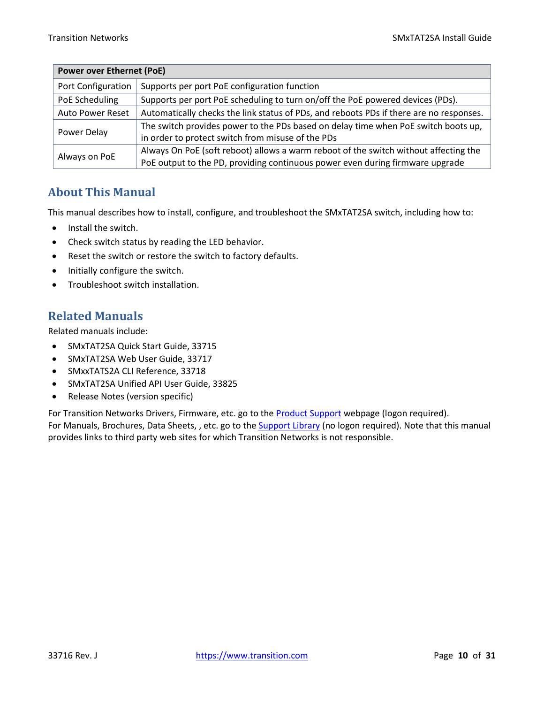| <b>Power over Ethernet (PoE)</b> |                                                                                         |  |  |
|----------------------------------|-----------------------------------------------------------------------------------------|--|--|
| Port Configuration               | Supports per port PoE configuration function                                            |  |  |
| PoE Scheduling                   | Supports per port PoE scheduling to turn on/off the PoE powered devices (PDs).          |  |  |
| <b>Auto Power Reset</b>          | Automatically checks the link status of PDs, and reboots PDs if there are no responses. |  |  |
| Power Delay                      | The switch provides power to the PDs based on delay time when PoE switch boots up,      |  |  |
|                                  | in order to protect switch from misuse of the PDs                                       |  |  |
| Always on PoE                    | Always On PoE (soft reboot) allows a warm reboot of the switch without affecting the    |  |  |
|                                  | PoE output to the PD, providing continuous power even during firmware upgrade           |  |  |

### <span id="page-9-0"></span>**About This Manual**

This manual describes how to install, configure, and troubleshoot the SMxTAT2SA switch, including how to:

- Install the switch.
- Check switch status by reading the LED behavior.
- Reset the switch or restore the switch to factory defaults.
- Initially configure the switch.
- Troubleshoot switch installation.

### <span id="page-9-1"></span>**Related Manuals**

Related manuals include:

- SMxTAT2SA Quick Start Guide, 33715
- SMxTAT2SA Web User Guide, 33717
- SMxxTATS2A CLI Reference, 33718
- SMxTAT2SA Unified API User Guide, 33825
- Release Notes (version specific)

For Transition Networks Drivers, Firmware, etc. go to the **[Product Support](https://www.transition.com/support/product-support/)** webpage (logon required). For Manuals, Brochures, Data Sheets, , etc. go to the **Support Library** (no logon required). Note that this manual provides links to third party web sites for which Transition Networks is not responsible.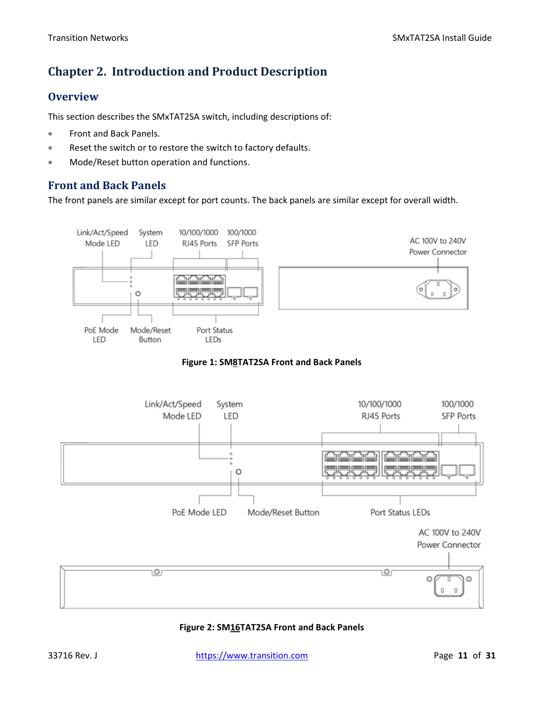### <span id="page-10-0"></span>**Chapter 2. Introduction and Product Description**

### <span id="page-10-1"></span>**Overview**

This section describes the SMxTAT2SA switch, including descriptions of:

- Front and Back Panels.
- Reset the switch or to restore the switch to factory defaults.
- Mode/Reset button operation and functions.

### <span id="page-10-2"></span>**Front and Back Panels**

The front panels are similar except for port counts. The back panels are similar except for overall width.



#### **Figure 1: SM8TAT2SA Front and Back Panels**



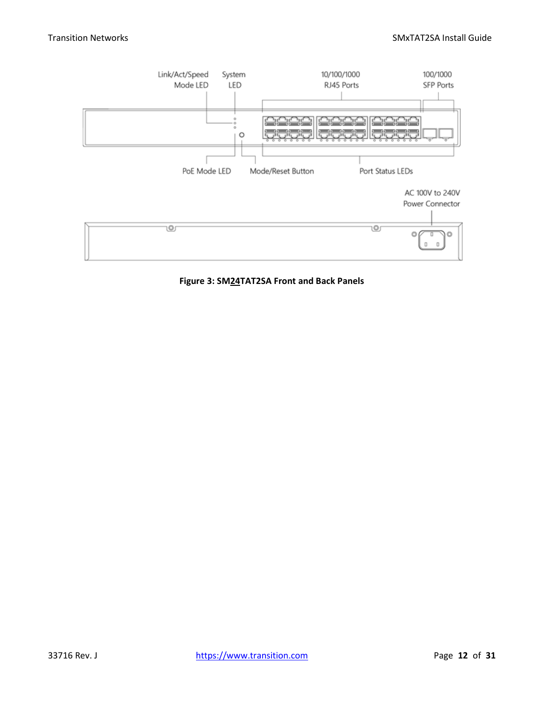

**Figure 3: SM24TAT2SA Front and Back Panels**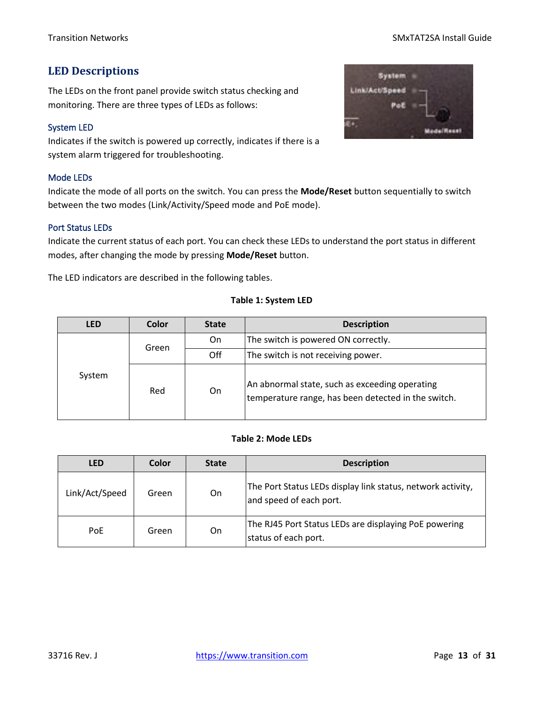#### Transition Networks **SMxTAT2SA Install Guide**

### <span id="page-12-0"></span>**LED Descriptions**

The LEDs on the front panel provide switch status checking and monitoring. There are three types of LEDs as follows:

#### <span id="page-12-1"></span>System LED

Indicates if the switch is powered up correctly, indicates if there is a system alarm triggered for troubleshooting.

#### <span id="page-12-2"></span>Mode LEDs

Indicate the mode of all ports on the switch. You can press the **Mode/Reset** button sequentially to switch between the two modes (Link/Activity/Speed mode and PoE mode).

#### <span id="page-12-3"></span>Port Status LEDs

Indicate the current status of each port. You can check these LEDs to understand the port status in different modes, after changing the mode by pressing **Mode/Reset** button.

The LED indicators are described in the following tables.

#### **Table 1: System LED**

| <b>LED</b> | Color | <b>State</b> | <b>Description</b>                                                                                    |  |
|------------|-------|--------------|-------------------------------------------------------------------------------------------------------|--|
|            | Green | On.          | The switch is powered ON correctly.                                                                   |  |
|            |       | Off          | The switch is not receiving power.                                                                    |  |
| System     | Red   | On.          | An abnormal state, such as exceeding operating<br>temperature range, has been detected in the switch. |  |

#### **Table 2: Mode LEDs**

| <b>LED</b>     | Color | <b>State</b> | <b>Description</b>                                                                     |
|----------------|-------|--------------|----------------------------------------------------------------------------------------|
| Link/Act/Speed | Green | On           | The Port Status LEDs display link status, network activity,<br>and speed of each port. |
| PoE            | Green | On.          | The RJ45 Port Status LEDs are displaying PoE powering<br>status of each port.          |

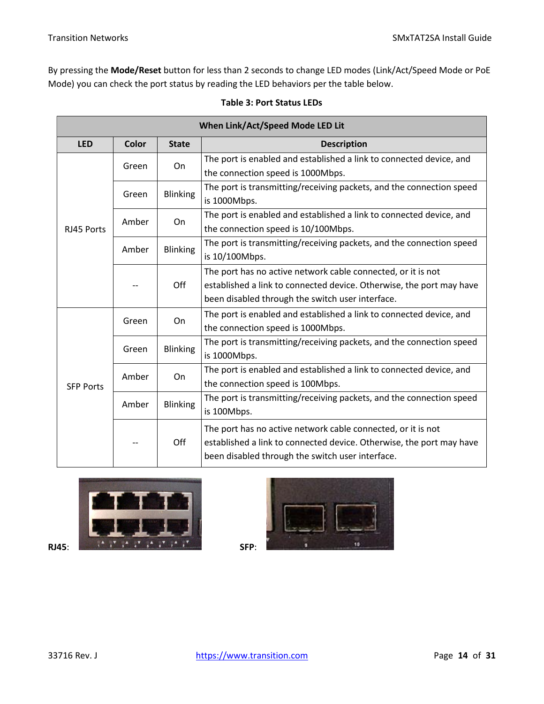By pressing the **Mode/Reset** button for less than 2 seconds to change LED modes (Link/Act/Speed Mode or PoE Mode) you can check the port status by reading the LED behaviors per the table below.

| When Link/Act/Speed Mode LED Lit |       |                 |                                                                      |  |
|----------------------------------|-------|-----------------|----------------------------------------------------------------------|--|
| <b>LED</b>                       | Color | <b>State</b>    | <b>Description</b>                                                   |  |
|                                  | Green | On              | The port is enabled and established a link to connected device, and  |  |
|                                  |       |                 | the connection speed is 1000Mbps.                                    |  |
|                                  | Green | <b>Blinking</b> | The port is transmitting/receiving packets, and the connection speed |  |
|                                  |       |                 | is 1000Mbps.                                                         |  |
|                                  | Amber | On.             | The port is enabled and established a link to connected device, and  |  |
| RJ45 Ports                       |       |                 | the connection speed is 10/100Mbps.                                  |  |
|                                  | Amber | <b>Blinking</b> | The port is transmitting/receiving packets, and the connection speed |  |
|                                  |       |                 | is 10/100Mbps.                                                       |  |
|                                  |       | Off             | The port has no active network cable connected, or it is not         |  |
|                                  |       |                 | established a link to connected device. Otherwise, the port may have |  |
|                                  |       |                 | been disabled through the switch user interface.                     |  |
|                                  | Green | On              | The port is enabled and established a link to connected device, and  |  |
|                                  |       |                 | the connection speed is 1000Mbps.                                    |  |
|                                  | Green | <b>Blinking</b> | The port is transmitting/receiving packets, and the connection speed |  |
|                                  |       |                 | is 1000Mbps.                                                         |  |
|                                  | Amber | On              | The port is enabled and established a link to connected device, and  |  |
| <b>SFP Ports</b>                 |       |                 | the connection speed is 100Mbps.                                     |  |
|                                  | Amber | <b>Blinking</b> | The port is transmitting/receiving packets, and the connection speed |  |
|                                  |       |                 | is 100Mbps.                                                          |  |
|                                  |       | Off             | The port has no active network cable connected, or it is not         |  |
|                                  |       |                 | established a link to connected device. Otherwise, the port may have |  |
|                                  |       |                 | been disabled through the switch user interface.                     |  |

#### **Table 3: Port Status LEDs**



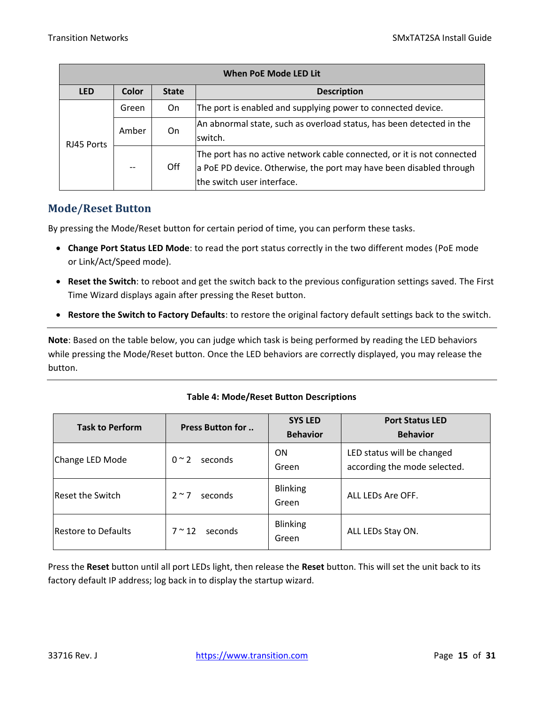| <b>When PoE Mode LED Lit</b> |       |                                    |                                                                                                                                                                             |
|------------------------------|-------|------------------------------------|-----------------------------------------------------------------------------------------------------------------------------------------------------------------------------|
| <b>LED</b>                   | Color | <b>Description</b><br><b>State</b> |                                                                                                                                                                             |
|                              | Green | On                                 | The port is enabled and supplying power to connected device.                                                                                                                |
| RJ45 Ports                   | Amber | On                                 | An abnormal state, such as overload status, has been detected in the<br>switch.                                                                                             |
|                              |       | Off                                | The port has no active network cable connected, or it is not connected<br>a PoE PD device. Otherwise, the port may have been disabled through<br>the switch user interface. |

### <span id="page-14-0"></span>**Mode/Reset Button**

By pressing the Mode/Reset button for certain period of time, you can perform these tasks.

- **Change Port Status LED Mode**: to read the port status correctly in the two different modes (PoE mode or Link/Act/Speed mode).
- **Reset the Switch**: to reboot and get the switch back to the previous configuration settings saved. The First Time Wizard displays again after pressing the Reset button.
- **Restore the Switch to Factory Defaults**: to restore the original factory default settings back to the switch.

**Note**: Based on the table below, you can judge which task is being performed by reading the LED behaviors while pressing the Mode/Reset button. Once the LED behaviors are correctly displayed, you may release the button.

#### **Table 4: Mode/Reset Button Descriptions**

| <b>Task to Perform</b>  | <b>Press Button for </b>  | <b>SYS LED</b><br><b>Behavior</b> | <b>Port Status LED</b><br><b>Behavior</b>                  |
|-------------------------|---------------------------|-----------------------------------|------------------------------------------------------------|
| Change LED Mode         | $0 \sim 2$<br>seconds     | <b>ON</b><br>Green                | LED status will be changed<br>according the mode selected. |
| <b>Reset the Switch</b> | $2 \sim 7$<br>seconds     | <b>Blinking</b><br>Green          | ALL LEDS Are OFF.                                          |
| Restore to Defaults     | $7 \approx 12$<br>seconds | <b>Blinking</b><br>Green          | ALL LEDs Stay ON.                                          |

Press the **Reset** button until all port LEDs light, then release the **Reset** button. This will set the unit back to its factory default IP address; log back in to display the startup wizard.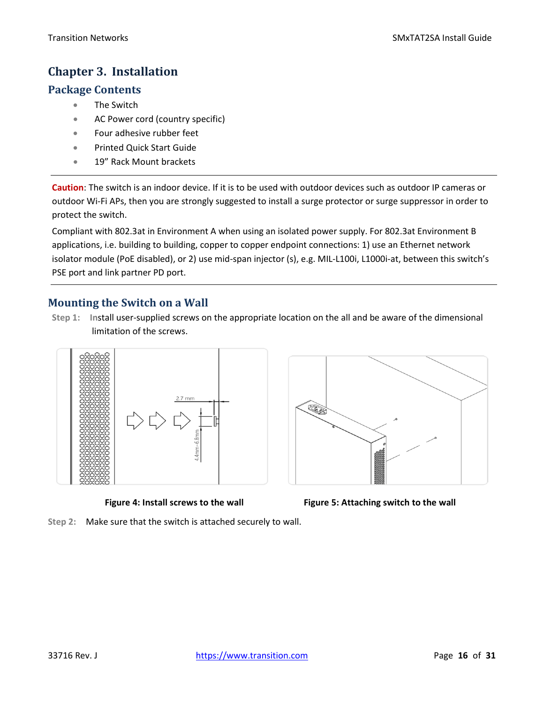### <span id="page-15-0"></span>**Chapter 3. Installation**

### <span id="page-15-1"></span>**Package Contents**

- The Switch
- AC Power cord (country specific)
- Four adhesive rubber feet
- Printed Quick Start Guide
- 19" Rack Mount brackets

**Caution**: The switch is an indoor device. If it is to be used with outdoor devices such as outdoor IP cameras or outdoor Wi-Fi APs, then you are strongly suggested to install a surge protector or surge suppressor in order to protect the switch.

Compliant with 802.3at in Environment A when using an isolated power supply. For 802.3at Environment B applications, i.e. building to building, copper to copper endpoint connections: 1) use an Ethernet network isolator module (PoE disabled), or 2) use mid-span injector (s), e.g. MIL-L100i, L1000i-at, between this switch's PSE port and link partner PD port.

### <span id="page-15-2"></span>**Mounting the Switch on a Wall**

**Step 1: In**stall user-supplied screws on the appropriate location on the all and be aware of the dimensional limitation of the screws.





**Figure 4: Install screws to the wall Figure 5: Attaching switch to the wall**

**Step 2:** Make sure that the switch is attached securely to wall.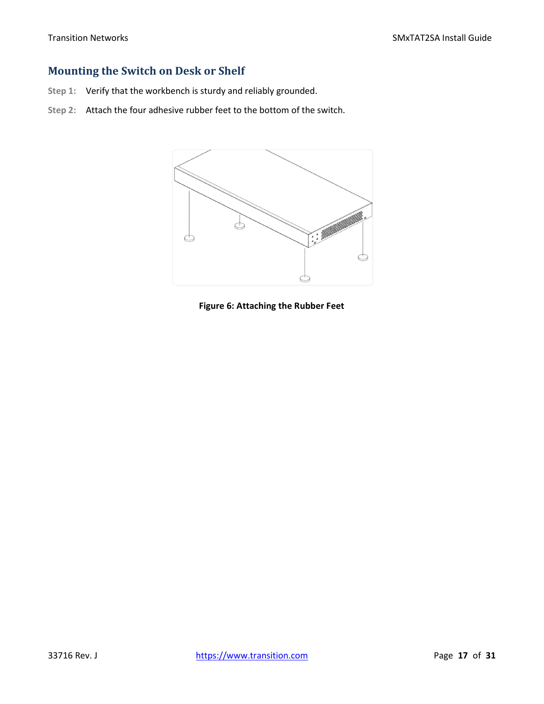### <span id="page-16-0"></span>**Mounting the Switch on Desk or Shelf**

- **Step 1:** Verify that the workbench is sturdy and reliably grounded.
- **Step 2:** Attach the four adhesive rubber feet to the bottom of the switch.



**Figure 6: Attaching the Rubber Feet**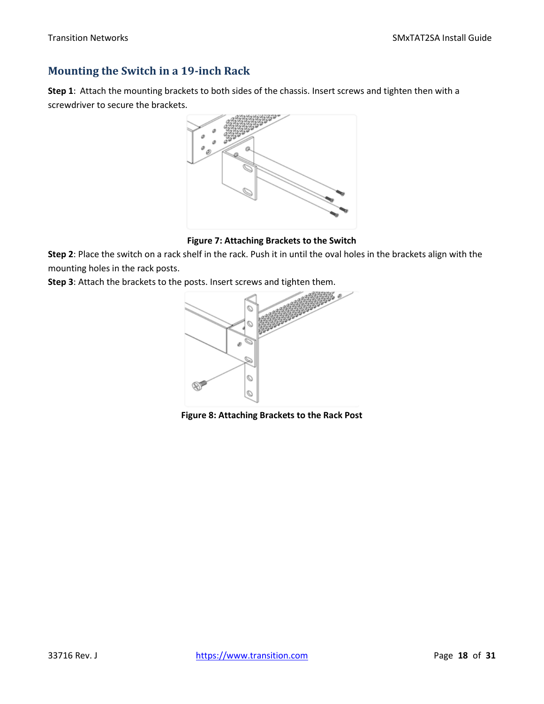### <span id="page-17-0"></span>**Mounting the Switch in a 19-inch Rack**

**Step 1**: Attach the mounting brackets to both sides of the chassis. Insert screws and tighten then with a screwdriver to secure the brackets.



**Figure 7: Attaching Brackets to the Switch**

**Step 2**: Place the switch on a rack shelf in the rack. Push it in until the oval holes in the brackets align with the mounting holes in the rack posts.

**Step 3**: Attach the brackets to the posts. Insert screws and tighten them.



**Figure 8: Attaching Brackets to the Rack Post**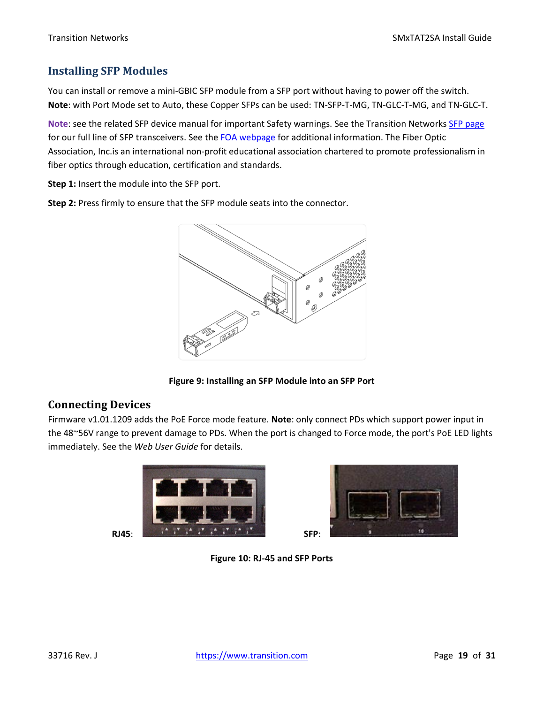### <span id="page-18-0"></span>**Installing SFP Modules**

You can install or remove a mini-GBIC SFP module from a SFP port without having to power off the switch. **Note**: with Port Mode set to Auto, these Copper SFPs can be used: TN-SFP-T-MG, TN-GLC-T-MG, and TN-GLC-T.

**Note**: see the related SFP device manual for important Safety warnings. See the Transition Networks [SFP page](https://www.transition.com/lines/optical-devices/?fwp_platform=platform-sfp) for our full line of SFP transceivers. See the [FOA webpage](https://www.thefoa.org/) for additional information. The Fiber Optic Association, Inc.is an international non-profit educational association chartered to promote professionalism in fiber optics through education, certification and standards.

**Step 1:** Insert the module into the SFP port.

**Step 2:** Press firmly to ensure that the SFP module seats into the connector.



**Figure 9: Installing an SFP Module into an SFP Port**

### <span id="page-18-1"></span>**Connecting Devices**

Firmware v1.01.1209 adds the PoE Force mode feature. **Note**: only connect PDs which support power input in the 48~56V range to prevent damage to PDs. When the port is changed to Force mode, the port's PoE LED lights immediately. See the *Web User Guide* for details.





**Figure 10: RJ-45 and SFP Ports**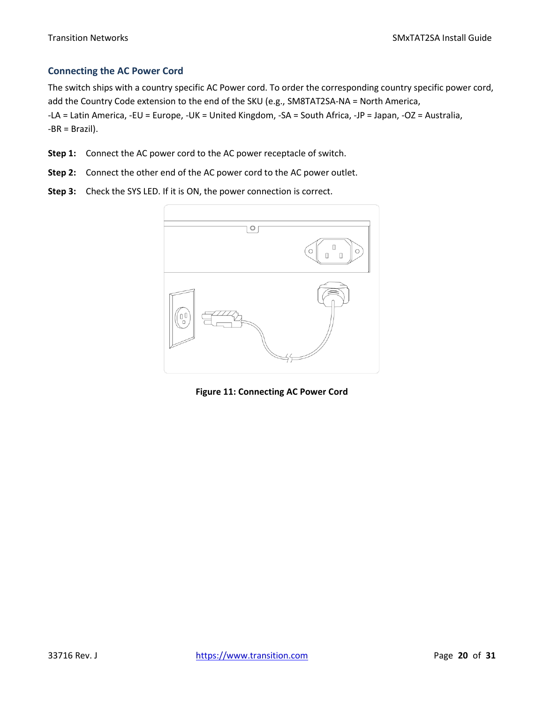#### <span id="page-19-0"></span>**Connecting the AC Power Cord**

The switch ships with a country specific AC Power cord. To order the corresponding country specific power cord, add the Country Code extension to the end of the SKU (e.g., SM8TAT2SA-NA = North America, -LA = Latin America, -EU = Europe, -UK = United Kingdom, -SA = South Africa, -JP = Japan, -OZ = Australia, -BR = Brazil).

- **Step 1:** Connect the AC power cord to the AC power receptacle of switch.
- **Step 2:** Connect the other end of the AC power cord to the AC power outlet.
- **Step 3:** Check the SYS LED. If it is ON, the power connection is correct.



**Figure 11: Connecting AC Power Cord**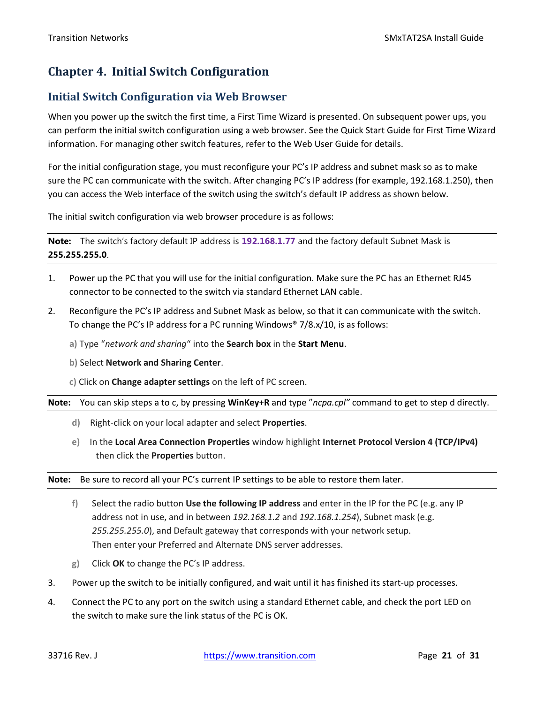### <span id="page-20-0"></span>**Chapter 4. Initial Switch Configuration**

### <span id="page-20-1"></span>**Initial Switch Configuration via Web Browser**

When you power up the switch the first time, a First Time Wizard is presented. On subsequent power ups, you can perform the initial switch configuration using a web browser. See the Quick Start Guide for First Time Wizard information. For managing other switch features, refer to the Web User Guide for details.

For the initial configuration stage, you must reconfigure your PC's IP address and subnet mask so as to make sure the PC can communicate with the switch. After changing PC's IP address (for example, 192.168.1.250), then you can access the Web interface of the switch using the switch's default IP address as shown below.

The initial switch configuration via web browser procedure is as follows:

**Note:** The switch's factory default IP address is **192.168.1.77** and the factory default Subnet Mask is **255.255.255.0**.

- 1. Power up the PC that you will use for the initial configuration. Make sure the PC has an Ethernet RJ45 connector to be connected to the switch via standard Ethernet LAN cable.
- 2. Reconfigure the PC's IP address and Subnet Mask as below, so that it can communicate with the switch. To change the PC's IP address for a PC running Windows® 7/8.x/10, is as follows:
	- **a)** Type "*network and sharing*" into the **Search box** in the **Start Menu**.
	- **b)** Select **Network and Sharing Center**.
	- **c)** Click on **Change adapter settings** on the left of PC screen.

**Note:** You can skip steps a to c, by pressing **WinKey**+**R** and type "*ncpa.cpl"* command to get to step d directly.

- **d)** Right-click on your local adapter and select **Properties**.
- **e)** In the **Local Area Connection Properties** window highlight **Internet Protocol Version 4 (TCP/IPv4)** then click the **Properties** button.

**Note:** Be sure to record all your PC's current IP settings to be able to restore them later.

- **f)** Select the radio button **Use the following IP address** and enter in the IP for the PC (e.g. any IP address not in use, and in between *192.168.1.2* and *192.168.1.254*), Subnet mask (e.g. *255.255.255.0*), and Default gateway that corresponds with your network setup. Then enter your Preferred and Alternate DNS server addresses.
- **g)** Click **OK** to change the PC's IP address.
- 3. Power up the switch to be initially configured, and wait until it has finished its start-up processes.
- 4. Connect the PC to any port on the switch using a standard Ethernet cable, and check the port LED on the switch to make sure the link status of the PC is OK.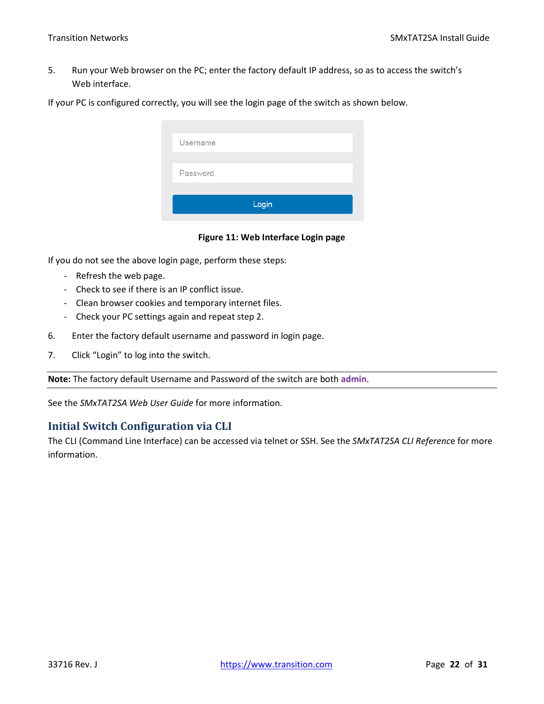5. Run your Web browser on the PC; enter the factory default IP address, so as to access the switch's Web interface.

If your PC is configured correctly, you will see the login page of the switch as shown below.

| <b>Username</b> |       |  |
|-----------------|-------|--|
| Password        |       |  |
|                 | Login |  |

#### **Figure 11: Web Interface Login page**

If you do not see the above login page, perform these steps:

- Refresh the web page.
- Check to see if there is an IP conflict issue.
- Clean browser cookies and temporary internet files.
- Check your PC settings again and repeat step 2.
- 6. Enter the factory default username and password in login page.
- 7. Click "Login" to log into the switch.

**Note:** The factory default Username and Password of the switch are both **admin**.

See the *SMxTAT2SA Web User Guide* for more information.

### <span id="page-21-0"></span>**Initial Switch Configuration via CLI**

The CLI (Command Line Interface) can be accessed via telnet or SSH. See the *SMxTAT2SA CLI Referenc*e for more information.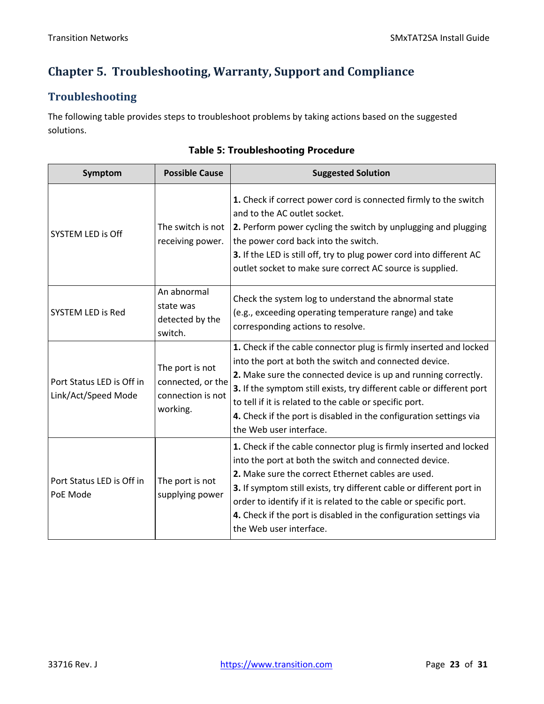### <span id="page-22-0"></span>**Chapter 5. Troubleshooting, Warranty, Support and Compliance**

### <span id="page-22-1"></span>**Troubleshooting**

The following table provides steps to troubleshoot problems by taking actions based on the suggested solutions.

| Symptom                                          | <b>Possible Cause</b>                                                 | <b>Suggested Solution</b>                                                                                                                                                                                                                                                                                                                                                                                                           |
|--------------------------------------------------|-----------------------------------------------------------------------|-------------------------------------------------------------------------------------------------------------------------------------------------------------------------------------------------------------------------------------------------------------------------------------------------------------------------------------------------------------------------------------------------------------------------------------|
| <b>SYSTEM LED is Off</b>                         | The switch is not<br>receiving power.                                 | 1. Check if correct power cord is connected firmly to the switch<br>and to the AC outlet socket.<br>2. Perform power cycling the switch by unplugging and plugging<br>the power cord back into the switch.<br>3. If the LED is still off, try to plug power cord into different AC<br>outlet socket to make sure correct AC source is supplied.                                                                                     |
| <b>SYSTEM LED is Red</b>                         | An abnormal<br>state was<br>detected by the<br>switch.                | Check the system log to understand the abnormal state<br>(e.g., exceeding operating temperature range) and take<br>corresponding actions to resolve.                                                                                                                                                                                                                                                                                |
| Port Status LED is Off in<br>Link/Act/Speed Mode | The port is not<br>connected, or the<br>connection is not<br>working. | 1. Check if the cable connector plug is firmly inserted and locked<br>into the port at both the switch and connected device.<br>2. Make sure the connected device is up and running correctly.<br>3. If the symptom still exists, try different cable or different port<br>to tell if it is related to the cable or specific port.<br>4. Check if the port is disabled in the configuration settings via<br>the Web user interface. |
| Port Status LED is Off in<br>PoE Mode            | The port is not<br>supplying power                                    | 1. Check if the cable connector plug is firmly inserted and locked<br>into the port at both the switch and connected device.<br>2. Make sure the correct Ethernet cables are used.<br>3. If symptom still exists, try different cable or different port in<br>order to identify if it is related to the cable or specific port.<br>4. Check if the port is disabled in the configuration settings via<br>the Web user interface.    |

### **Table 5: Troubleshooting Procedure**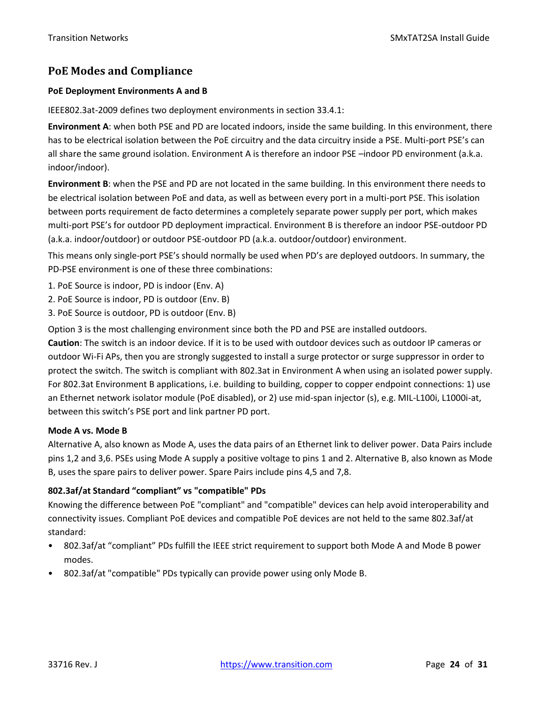### <span id="page-23-0"></span>**PoE Modes and Compliance**

#### **PoE Deployment Environments A and B**

IEEE802.3at-2009 defines two deployment environments in section 33.4.1:

**Environment A**: when both PSE and PD are located indoors, inside the same building. In this environment, there has to be electrical isolation between the PoE circuitry and the data circuitry inside a PSE. Multi-port PSE's can all share the same ground isolation. Environment A is therefore an indoor PSE –indoor PD environment (a.k.a. indoor/indoor).

**Environment B**: when the PSE and PD are not located in the same building. In this environment there needs to be electrical isolation between PoE and data, as well as between every port in a multi-port PSE. This isolation between ports requirement de facto determines a completely separate power supply per port, which makes multi-port PSE's for outdoor PD deployment impractical. Environment B is therefore an indoor PSE-outdoor PD (a.k.a. indoor/outdoor) or outdoor PSE-outdoor PD (a.k.a. outdoor/outdoor) environment.

This means only single-port PSE's should normally be used when PD's are deployed outdoors. In summary, the PD-PSE environment is one of these three combinations:

- 1. PoE Source is indoor, PD is indoor (Env. A)
- 2. PoE Source is indoor, PD is outdoor (Env. B)
- 3. PoE Source is outdoor, PD is outdoor (Env. B)

Option 3 is the most challenging environment since both the PD and PSE are installed outdoors.

**Caution**: The switch is an indoor device. If it is to be used with outdoor devices such as outdoor IP cameras or outdoor Wi-Fi APs, then you are strongly suggested to install a surge protector or surge suppressor in order to protect the switch. The switch is compliant with 802.3at in Environment A when using an isolated power supply. For 802.3at Environment B applications, i.e. building to building, copper to copper endpoint connections: 1) use an Ethernet network isolator module (PoE disabled), or 2) use mid-span injector (s), e.g. MIL-L100i, L1000i-at, between this switch's PSE port and link partner PD port.

#### **Mode A vs. Mode B**

Alternative A, also known as Mode A, uses the data pairs of an Ethernet link to deliver power. Data Pairs include pins 1,2 and 3,6. PSEs using Mode A supply a positive voltage to pins 1 and 2. Alternative B, also known as Mode B, uses the spare pairs to deliver power. Spare Pairs include pins 4,5 and 7,8.

#### **802.3af/at Standard "compliant" vs "compatible" PDs**

Knowing the difference between PoE "compliant" and "compatible" devices can help avoid interoperability and connectivity issues. Compliant PoE devices and compatible PoE devices are not held to the same 802.3af/at standard:

- 802.3af/at "compliant" PDs fulfill the IEEE strict requirement to support both Mode A and Mode B power modes.
- 802.3af/at "compatible" PDs typically can provide power using only Mode B.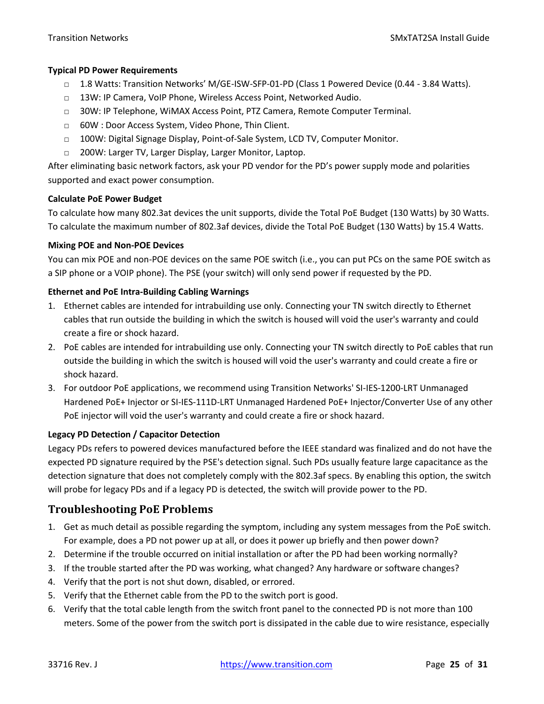#### **Typical PD Power Requirements**

- □ 1.8 Watts: Transition Networks' M/GE-ISW-SFP-01-PD (Class 1 Powered Device (0.44 3.84 Watts).
- □ 13W: IP Camera, VoIP Phone, Wireless Access Point, Networked Audio.
- □ 30W: IP Telephone, WiMAX Access Point, PTZ Camera, Remote Computer Terminal.
- □ 60W : Door Access System, Video Phone, Thin Client.
- $\Box$  100W: Digital Signage Display, Point-of-Sale System, LCD TV, Computer Monitor.
- □ 200W: Larger TV, Larger Display, Larger Monitor, Laptop.

After eliminating basic network factors, ask your PD vendor for the PD's power supply mode and polarities supported and exact power consumption.

#### **Calculate PoE Power Budget**

To calculate how many 802.3at devices the unit supports, divide the Total PoE Budget (130 Watts) by 30 Watts. To calculate the maximum number of 802.3af devices, divide the Total PoE Budget (130 Watts) by 15.4 Watts.

#### **Mixing POE and Non-POE Devices**

You can mix POE and non-POE devices on the same POE switch (i.e., you can put PCs on the same POE switch as a SIP phone or a VOIP phone). The PSE (your switch) will only send power if requested by the PD.

#### **Ethernet and PoE Intra-Building Cabling Warnings**

- 1. Ethernet cables are intended for intrabuilding use only. Connecting your TN switch directly to Ethernet cables that run outside the building in which the switch is housed will void the user's warranty and could create a fire or shock hazard.
- 2. PoE cables are intended for intrabuilding use only. Connecting your TN switch directly to PoE cables that run outside the building in which the switch is housed will void the user's warranty and could create a fire or shock hazard.
- 3. For outdoor PoE applications, we recommend using Transition Networks' SI-IES-1200-LRT Unmanaged Hardened PoE+ Injector or SI-IES-111D-LRT Unmanaged Hardened PoE+ Injector/Converter Use of any other PoE injector will void the user's warranty and could create a fire or shock hazard.

#### **Legacy PD Detection / Capacitor Detection**

Legacy PDs refers to powered devices manufactured before the IEEE standard was finalized and do not have the expected PD signature required by the PSE's detection signal. Such PDs usually feature large capacitance as the detection signature that does not completely comply with the 802.3af specs. By enabling this option, the switch will probe for legacy PDs and if a legacy PD is detected, the switch will provide power to the PD.

### <span id="page-24-0"></span>**Troubleshooting PoE Problems**

- 1. Get as much detail as possible regarding the symptom, including any system messages from the PoE switch. For example, does a PD not power up at all, or does it power up briefly and then power down?
- 2. Determine if the trouble occurred on initial installation or after the PD had been working normally?
- 3. If the trouble started after the PD was working, what changed? Any hardware or software changes?
- 4. Verify that the port is not shut down, disabled, or errored.
- 5. Verify that the Ethernet cable from the PD to the switch port is good.
- 6. Verify that the total cable length from the switch front panel to the connected PD is not more than 100 meters. Some of the power from the switch port is dissipated in the cable due to wire resistance, especially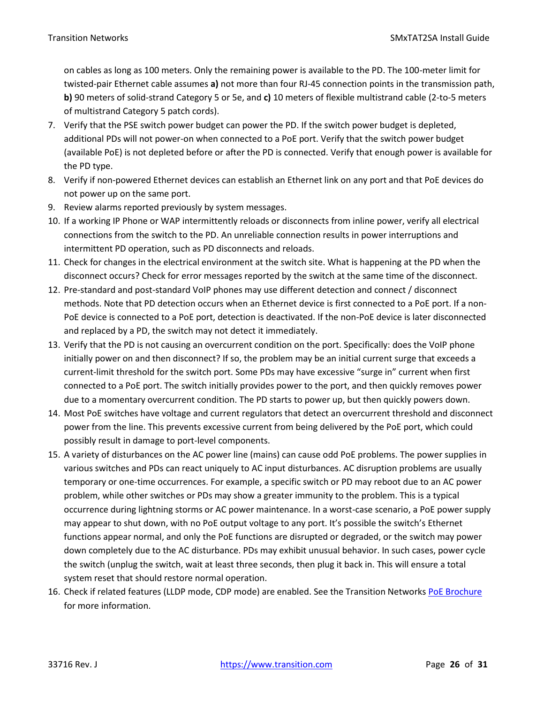on cables as long as 100 meters. Only the remaining power is available to the PD. The 100-meter limit for twisted-pair Ethernet cable assumes **a)** not more than four RJ-45 connection points in the transmission path, **b)** 90 meters of solid-strand Category 5 or 5e, and **c)** 10 meters of flexible multistrand cable (2-to-5 meters of multistrand Category 5 patch cords).

- 7. Verify that the PSE switch power budget can power the PD. If the switch power budget is depleted, additional PDs will not power-on when connected to a PoE port. Verify that the switch power budget (available PoE) is not depleted before or after the PD is connected. Verify that enough power is available for the PD type.
- 8. Verify if non-powered Ethernet devices can establish an Ethernet link on any port and that PoE devices do not power up on the same port.
- 9. Review alarms reported previously by system messages.
- 10. If a working IP Phone or WAP intermittently reloads or disconnects from inline power, verify all electrical connections from the switch to the PD. An unreliable connection results in power interruptions and intermittent PD operation, such as PD disconnects and reloads.
- 11. Check for changes in the electrical environment at the switch site. What is happening at the PD when the disconnect occurs? Check for error messages reported by the switch at the same time of the disconnect.
- 12. Pre-standard and post-standard VoIP phones may use different detection and connect / disconnect methods. Note that PD detection occurs when an Ethernet device is first connected to a PoE port. If a non-PoE device is connected to a PoE port, detection is deactivated. If the non-PoE device is later disconnected and replaced by a PD, the switch may not detect it immediately.
- 13. Verify that the PD is not causing an overcurrent condition on the port. Specifically: does the VoIP phone initially power on and then disconnect? If so, the problem may be an initial current surge that exceeds a current-limit threshold for the switch port. Some PDs may have excessive "surge in" current when first connected to a PoE port. The switch initially provides power to the port, and then quickly removes power due to a momentary overcurrent condition. The PD starts to power up, but then quickly powers down.
- 14. Most PoE switches have voltage and current regulators that detect an overcurrent threshold and disconnect power from the line. This prevents excessive current from being delivered by the PoE port, which could possibly result in damage to port-level components.
- 15. A variety of disturbances on the AC power line (mains) can cause odd PoE problems. The power supplies in various switches and PDs can react uniquely to AC input disturbances. AC disruption problems are usually temporary or one-time occurrences. For example, a specific switch or PD may reboot due to an AC power problem, while other switches or PDs may show a greater immunity to the problem. This is a typical occurrence during lightning storms or AC power maintenance. In a worst-case scenario, a PoE power supply may appear to shut down, with no PoE output voltage to any port. It's possible the switch's Ethernet functions appear normal, and only the PoE functions are disrupted or degraded, or the switch may power down completely due to the AC disturbance. PDs may exhibit unusual behavior. In such cases, power cycle the switch (unplug the switch, wait at least three seconds, then plug it back in. This will ensure a total system reset that should restore normal operation.
- 16. Check if related features (LLDP mode, CDP mode) are enabled. See the Transition Networks [PoE Brochure](https://www.transition.com/wp-content/uploads/2016/04/PoE-Brochure.pdf) for more information.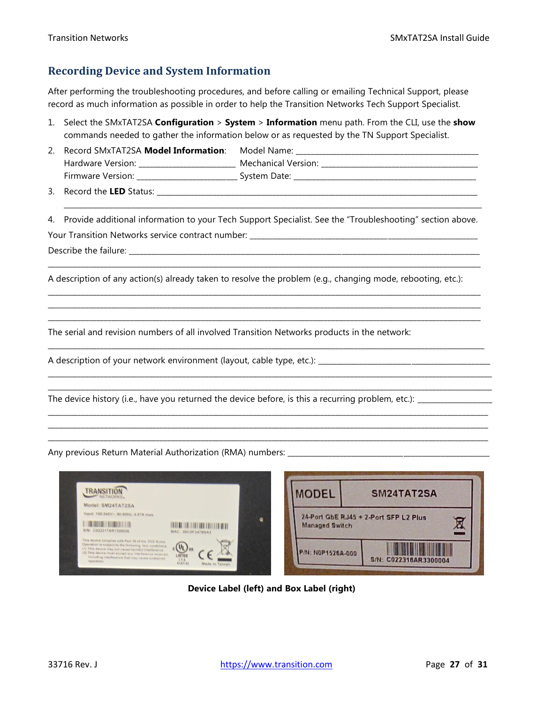### <span id="page-26-0"></span>**Recording Device and System Information**

After performing the troubleshooting procedures, and before calling or emailing Technical Support, please record as much information as possible in order to help the Transition Networks Tech Support Specialist.

- 1. Select the SMxTAT2SA **Configuration** > **System** > **Information** menu path. From the CLI, use the **show** commands needed to gather the information below or as requested by the TN Support Specialist.
- 2. Record SMxTAT2SA Model Information: Model Name: Hardware Version: \_\_\_\_\_\_\_\_\_\_\_\_\_\_\_\_\_\_\_\_\_\_\_\_\_\_\_ Mechanical Version: \_\_\_\_\_\_\_\_\_\_\_\_\_\_ Firmware Version: \_\_\_\_\_\_\_\_\_\_\_\_\_\_\_\_\_\_\_\_\_\_\_\_\_\_\_ System Date: \_\_\_\_\_\_\_\_\_\_\_\_\_\_\_\_\_\_\_\_\_\_\_\_\_\_\_\_\_\_\_\_\_\_\_\_\_\_\_\_\_\_\_\_\_\_\_\_\_

3. Record the **LED** Status: \_\_\_\_\_\_\_\_\_\_\_\_\_\_\_\_\_\_\_\_\_\_\_\_\_\_\_\_\_\_\_\_\_\_\_\_\_\_\_\_\_\_\_\_\_\_\_\_\_\_\_\_\_\_\_\_\_\_\_\_\_\_\_\_\_\_\_\_\_\_\_\_\_\_\_\_\_\_\_\_\_\_\_\_\_\_

4. Provide additional information to your Tech Support Specialist. See the "Troubleshooting" section above. Your Transition Networks service contract number: \_\_\_\_\_

\_\_\_\_\_\_\_\_\_\_\_\_\_\_\_\_\_\_\_\_\_\_\_\_\_\_\_\_\_\_\_\_\_\_\_\_\_\_\_\_\_\_\_\_\_\_\_\_\_\_\_\_\_\_\_\_\_\_\_\_\_\_\_\_\_\_\_\_\_\_\_\_\_\_\_\_\_\_\_\_\_\_\_\_\_\_\_\_\_\_\_\_\_\_\_\_\_\_\_\_\_\_\_\_\_\_\_\_\_\_\_\_\_\_\_\_

\_\_\_\_\_\_\_\_\_\_\_\_\_\_\_\_\_\_\_\_\_\_\_\_\_\_\_\_\_\_\_\_\_\_\_\_\_\_\_\_\_\_\_\_\_\_\_\_\_\_\_\_\_\_\_\_\_\_\_\_\_\_\_\_\_\_\_\_\_\_\_\_\_\_\_\_\_\_\_\_\_\_\_\_\_\_\_\_\_\_\_\_\_\_\_\_\_\_\_\_\_\_\_\_\_\_\_\_\_\_\_\_\_\_\_\_ \_\_\_\_\_\_\_\_\_\_\_\_\_\_\_\_\_\_\_\_\_\_\_\_\_\_\_\_\_\_\_\_\_\_\_\_\_\_\_\_\_\_\_\_\_\_\_\_\_\_\_\_\_\_\_\_\_\_\_\_\_\_\_\_\_\_\_\_\_\_\_\_\_\_\_\_\_\_\_\_\_\_\_\_\_\_\_\_\_\_\_\_\_\_\_\_\_\_\_\_\_\_\_\_\_\_\_\_\_\_\_\_\_\_\_\_ \_\_\_\_\_\_\_\_\_\_\_\_\_\_\_\_\_\_\_\_\_\_\_\_\_\_\_\_\_\_\_\_\_\_\_\_\_\_\_\_\_\_\_\_\_\_\_\_\_\_\_\_\_\_\_\_\_\_\_\_\_\_\_\_\_\_\_\_\_\_\_\_\_\_\_\_\_\_\_\_\_\_\_\_\_\_\_\_\_\_\_\_\_\_\_\_\_\_\_\_\_\_\_\_\_\_\_\_\_\_\_\_\_\_\_\_

\_\_\_\_\_\_\_\_\_\_\_\_\_\_\_\_\_\_\_\_\_\_\_\_\_\_\_\_\_\_\_\_\_\_\_\_\_\_\_\_\_\_\_\_\_\_\_\_\_\_\_\_\_\_\_\_\_\_\_\_\_\_\_\_\_\_\_\_\_\_\_\_\_\_\_\_\_\_\_\_\_\_\_\_\_\_\_\_\_\_\_\_\_\_\_\_\_\_\_\_\_\_\_\_\_\_\_\_\_\_\_\_\_\_\_\_\_

\_\_\_\_\_\_\_\_\_\_\_\_\_\_\_\_\_\_\_\_\_\_\_\_\_\_\_\_\_\_\_\_\_\_\_\_\_\_\_\_\_\_\_\_\_\_\_\_\_\_\_\_\_\_\_\_\_\_\_\_\_\_\_\_\_\_\_\_\_\_\_\_\_\_\_\_\_\_\_\_\_\_\_\_\_\_\_\_\_\_\_\_\_\_\_\_\_\_\_\_\_\_\_\_\_\_\_\_\_\_\_\_\_\_\_\_\_\_\_ \_\_\_\_\_\_\_\_\_\_\_\_\_\_\_\_\_\_\_\_\_\_\_\_\_\_\_\_\_\_\_\_\_\_\_\_\_\_\_\_\_\_\_\_\_\_\_\_\_\_\_\_\_\_\_\_\_\_\_\_\_\_\_\_\_\_\_\_\_\_\_\_\_\_\_\_\_\_\_\_\_\_\_\_\_\_\_\_\_\_\_\_\_\_\_\_\_\_\_\_\_\_\_\_\_\_\_\_\_\_\_\_\_\_\_\_\_\_\_

\_\_\_\_\_\_\_\_\_\_\_\_\_\_\_\_\_\_\_\_\_\_\_\_\_\_\_\_\_\_\_\_\_\_\_\_\_\_\_\_\_\_\_\_\_\_\_\_\_\_\_\_\_\_\_\_\_\_\_\_\_\_\_\_\_\_\_\_\_\_\_\_\_\_\_\_\_\_\_\_\_\_\_\_\_\_\_\_\_\_\_\_\_\_\_\_\_\_\_\_\_\_\_\_\_\_\_\_\_\_\_\_\_\_\_\_\_\_ \_\_\_\_\_\_\_\_\_\_\_\_\_\_\_\_\_\_\_\_\_\_\_\_\_\_\_\_\_\_\_\_\_\_\_\_\_\_\_\_\_\_\_\_\_\_\_\_\_\_\_\_\_\_\_\_\_\_\_\_\_\_\_\_\_\_\_\_\_\_\_\_\_\_\_\_\_\_\_\_\_\_\_\_\_\_\_\_\_\_\_\_\_\_\_\_\_\_\_\_\_\_\_\_\_\_\_\_\_\_\_\_\_\_\_\_\_\_ \_\_\_\_\_\_\_\_\_\_\_\_\_\_\_\_\_\_\_\_\_\_\_\_\_\_\_\_\_\_\_\_\_\_\_\_\_\_\_\_\_\_\_\_\_\_\_\_\_\_\_\_\_\_\_\_\_\_\_\_\_\_\_\_\_\_\_\_\_\_\_\_\_\_\_\_\_\_\_\_\_\_\_\_\_\_\_\_\_\_\_\_\_\_\_\_\_\_\_\_\_\_\_\_\_\_\_\_\_\_\_\_\_\_\_\_\_\_

\_\_\_\_\_\_\_\_\_\_\_\_\_\_\_\_\_\_\_\_\_\_\_\_\_\_\_\_\_\_\_\_\_\_\_\_\_\_\_\_\_\_\_\_\_\_\_\_\_\_\_\_\_\_\_\_\_\_\_\_\_\_\_\_\_\_\_\_\_\_\_\_\_\_\_\_\_\_\_\_\_\_\_\_\_\_\_\_\_\_\_\_\_\_\_\_\_\_\_\_\_\_\_\_\_\_\_\_\_\_\_\_

Describe the failure:

A description of any action(s) already taken to resolve the problem (e.g., changing mode, rebooting, etc.):

The serial and revision numbers of all involved Transition Networks products in the network:

A description of your network environment (layout, cable type, etc.): \_\_\_\_\_\_\_\_\_\_\_\_\_\_\_\_\_\_\_\_\_\_\_\_\_\_\_\_\_\_\_\_\_\_\_\_\_\_\_\_\_\_\_\_\_\_

The device history (i.e., have you returned the device before, is this a recurring problem, etc.): \_\_\_\_\_\_\_\_\_\_\_\_\_\_\_\_\_\_\_\_

Any previous Return Material Authorization (RMA) numbers:





**Device Label (left) and Box Label (right)**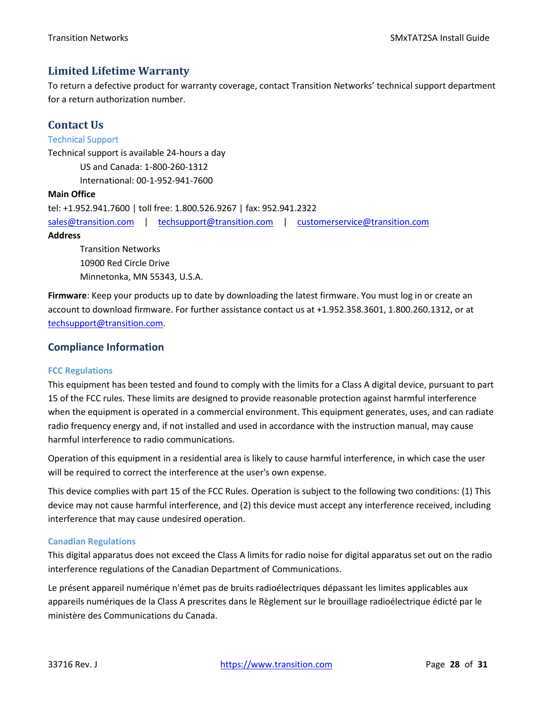### <span id="page-27-0"></span>**Limited Lifetime Warranty**

To return a defective product for warranty coverage, contact Transition Networks' technical support department for a return authorization number.

### <span id="page-27-1"></span>**Contact Us**

#### <span id="page-27-2"></span>Technical Support

Technical support is available 24-hours a day US and Canada: 1-800-260-1312

International: 00-1-952-941-7600

#### **Main Office**

```
tel: +1.952.941.7600 | toll free: 1.800.526.9267 | fax: 952.941.2322
sales@transition.com | techsupport@transition.com | customerservice@transition.com
Address
```
Transition Networks 10900 Red Circle Drive Minnetonka, MN 55343, U.S.A.

**Firmware**: Keep your products up to date by downloading the latest firmware. You must log in or create an account to download firmware. For further assistance contact us at +1.952.358.3601, 1.800.260.1312, or at [techsupport@transition.com.](mailto:techsupport@transition.com)

### <span id="page-27-3"></span>**Compliance Information**

#### **FCC Regulations**

This equipment has been tested and found to comply with the limits for a Class A digital device, pursuant to part 15 of the FCC rules. These limits are designed to provide reasonable protection against harmful interference when the equipment is operated in a commercial environment. This equipment generates, uses, and can radiate radio frequency energy and, if not installed and used in accordance with the instruction manual, may cause harmful interference to radio communications.

Operation of this equipment in a residential area is likely to cause harmful interference, in which case the user will be required to correct the interference at the user's own expense.

This device complies with part 15 of the FCC Rules. Operation is subject to the following two conditions: (1) This device may not cause harmful interference, and (2) this device must accept any interference received, including interference that may cause undesired operation.

#### **Canadian Regulations**

This digital apparatus does not exceed the Class A limits for radio noise for digital apparatus set out on the radio interference regulations of the Canadian Department of Communications.

Le présent appareil numérique n'émet pas de bruits radioélectriques dépassant les limites applicables aux appareils numériques de la Class A prescrites dans le Règlement sur le brouillage radioélectrique édicté par le ministère des Communications du Canada.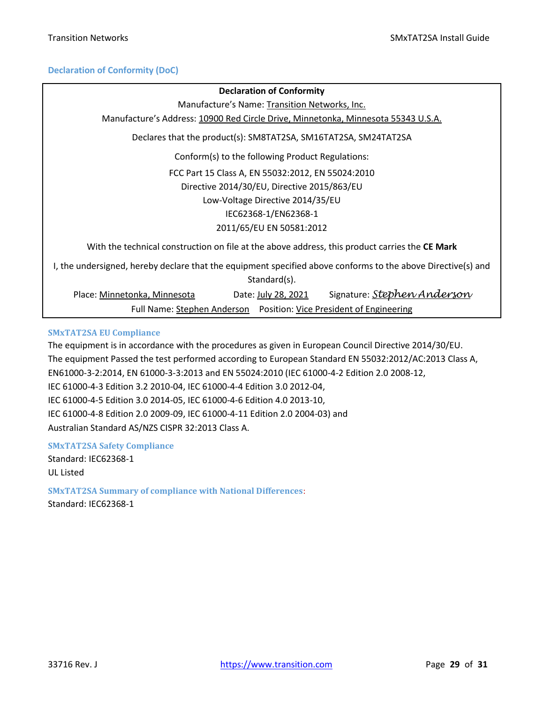#### **Declaration of Conformity (DoC)**

### **Declaration of Conformity** Manufacture's Name: Transition Networks, Inc. Manufacture's Address: 10900 Red Circle Drive, Minnetonka, Minnesota 55343 U.S.A. Declares that the product(s): SM8TAT2SA, SM16TAT2SA, SM24TAT2SA Conform(s) to the following Product Regulations: FCC Part 15 Class A, EN 55032:2012, EN 55024:2010 Directive 2014/30/EU, Directive 2015/863/EU Low-Voltage Directive 2014/35/EU IEC62368-1/EN62368-1 2011/65/EU EN 50581:2012 With the technical construction on file at the above address, this product carries the **CE Mark** I, the undersigned, hereby declare that the equipment specified above conforms to the above Directive(s) and Standard(s). Place: Minnetonka, Minnesota Date: July 28, 2021 Signature: *Stephen Anderson* Full Name: Stephen Anderson Position: Vice President of Engineering

#### **SMxTAT2SA EU Compliance**

The equipment is in accordance with the procedures as given in European Council Directive 2014/30/EU. The equipment Passed the test performed according to European Standard EN 55032:2012/AC:2013 Class A, EN61000-3-2:2014, EN 61000-3-3:2013 and EN 55024:2010 (IEC 61000-4-2 Edition 2.0 2008-12, IEC 61000-4-3 Edition 3.2 2010-04, IEC 61000-4-4 Edition 3.0 2012-04, IEC 61000-4-5 Edition 3.0 2014-05, IEC 61000-4-6 Edition 4.0 2013-10, IEC 61000-4-8 Edition 2.0 2009-09, IEC 61000-4-11 Edition 2.0 2004-03) and Australian Standard AS/NZS CISPR 32:2013 Class A.

#### **SMxTAT2SA Safety Compliance**

Standard: IEC62368-1 UL Listed

**SMxTAT2SA Summary of compliance with National Differences**:

Standard: IEC62368-1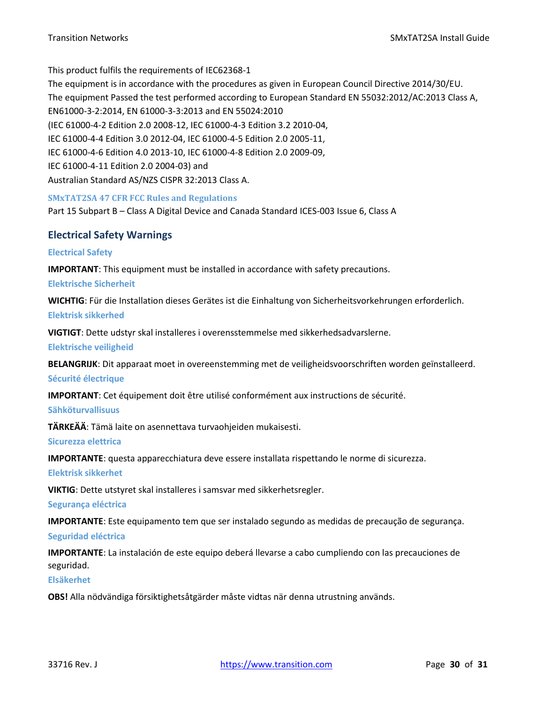This product fulfils the requirements of IEC62368-1

The equipment is in accordance with the procedures as given in European Council Directive 2014/30/EU. The equipment Passed the test performed according to European Standard EN 55032:2012/AC:2013 Class A, EN61000-3-2:2014, EN 61000-3-3:2013 and EN 55024:2010 (IEC 61000-4-2 Edition 2.0 2008-12, IEC 61000-4-3 Edition 3.2 2010-04, IEC 61000-4-4 Edition 3.0 2012-04, IEC 61000-4-5 Edition 2.0 2005-11, IEC 61000-4-6 Edition 4.0 2013-10, IEC 61000-4-8 Edition 2.0 2009-09, IEC 61000-4-11 Edition 2.0 2004-03) and Australian Standard AS/NZS CISPR 32:2013 Class A.

#### **SMxTAT2SA 47 CFR FCC Rules and Regulations**

<span id="page-29-0"></span>Part 15 Subpart B – Class A Digital Device and Canada Standard ICES-003 Issue 6, Class A

#### <span id="page-29-1"></span>**Electrical Safety Warnings**

#### **Electrical Safety**

**IMPORTANT**: This equipment must be installed in accordance with safety precautions.

**Elektrische Sicherheit**

**WICHTIG**: Für die Installation dieses Gerätes ist die Einhaltung von Sicherheitsvorkehrungen erforderlich. **Elektrisk sikkerhed**

**VIGTIGT**: Dette udstyr skal installeres i overensstemmelse med sikkerhedsadvarslerne.

**Elektrische veiligheid**

**BELANGRIJK**: Dit apparaat moet in overeenstemming met de veiligheidsvoorschriften worden geïnstalleerd.

**Sécurité électrique**

**IMPORTANT**: Cet équipement doit être utilisé conformément aux instructions de sécurité.

#### **Sähköturvallisuus**

**TÄRKEÄÄ**: Tämä laite on asennettava turvaohjeiden mukaisesti.

**Sicurezza elettrica**

**IMPORTANTE**: questa apparecchiatura deve essere installata rispettando le norme di sicurezza.

#### **Elektrisk sikkerhet**

**VIKTIG**: Dette utstyret skal installeres i samsvar med sikkerhetsregler.

**Segurança eléctrica**

**IMPORTANTE**: Este equipamento tem que ser instalado segundo as medidas de precaução de segurança.

#### **Seguridad eléctrica**

**IMPORTANTE**: La instalación de este equipo deberá llevarse a cabo cumpliendo con las precauciones de seguridad.

#### **Elsäkerhet**

**OBS!** Alla nödvändiga försiktighetsåtgärder måste vidtas när denna utrustning används.